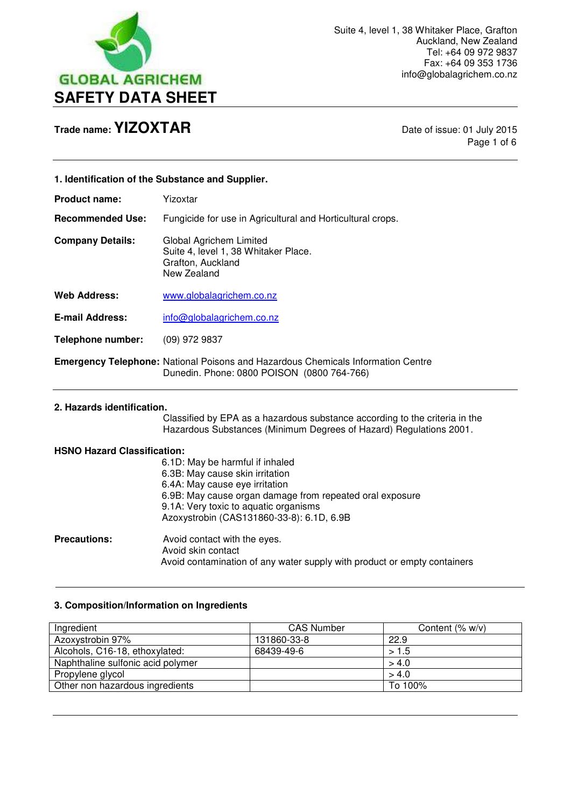

Page 1 of 6

| 1. Identification of the Substance and Supplier. |                                                                                                                                                                                                           |
|--------------------------------------------------|-----------------------------------------------------------------------------------------------------------------------------------------------------------------------------------------------------------|
| <b>Product name:</b>                             | Yizoxtar                                                                                                                                                                                                  |
| <b>Recommended Use:</b>                          | Fungicide for use in Agricultural and Horticultural crops.                                                                                                                                                |
| <b>Company Details:</b>                          | Global Agrichem Limited<br>Suite 4, level 1, 38 Whitaker Place.<br>Grafton, Auckland<br>New Zealand                                                                                                       |
| <b>Web Address:</b>                              | www.globalagrichem.co.nz                                                                                                                                                                                  |
| <b>E-mail Address:</b>                           | info@globalagrichem.co.nz                                                                                                                                                                                 |
| <b>Telephone number:</b>                         | $(09)$ 972 9837                                                                                                                                                                                           |
|                                                  | <b>Emergency Telephone: National Poisons and Hazardous Chemicals Information Centre</b><br>Dunedin. Phone: 0800 POISON (0800 764-766)                                                                     |
| 2. Hazards identification.                       | Classified by EPA as a hazardous substance according to the criteria in the<br>Hazardous Substances (Minimum Degrees of Hazard) Regulations 2001.                                                         |
| <b>HSNO Hazard Classification:</b>               | 6.1D: May be harmful if inhaled<br>6.3B: May cause skin irritation<br>6.4A: May cause eye irritation<br>6.9B: May cause organ damage from repeated oral exposure<br>9.1A: Very toxic to aquatic organisms |

**Precautions:** Avoid contact with the eyes. Avoid skin contact Avoid contamination of any water supply with product or empty containers

Azoxystrobin (CAS131860-33-8): 6.1D, 6.9B

### **3. Composition/Information on Ingredients**

 $\overline{a}$ 

| Ingredient                        | <b>CAS Number</b> | Content $(\% w/v)$ |
|-----------------------------------|-------------------|--------------------|
| Azoxystrobin 97%                  | 131860-33-8       | 22.9               |
| Alcohols, C16-18, ethoxylated:    | 68439-49-6        | >1.5               |
| Naphthaline sulfonic acid polymer |                   | > 4.0              |
| Propylene glycol                  |                   | > 4.0              |
| Other non hazardous ingredients   |                   | To 100%            |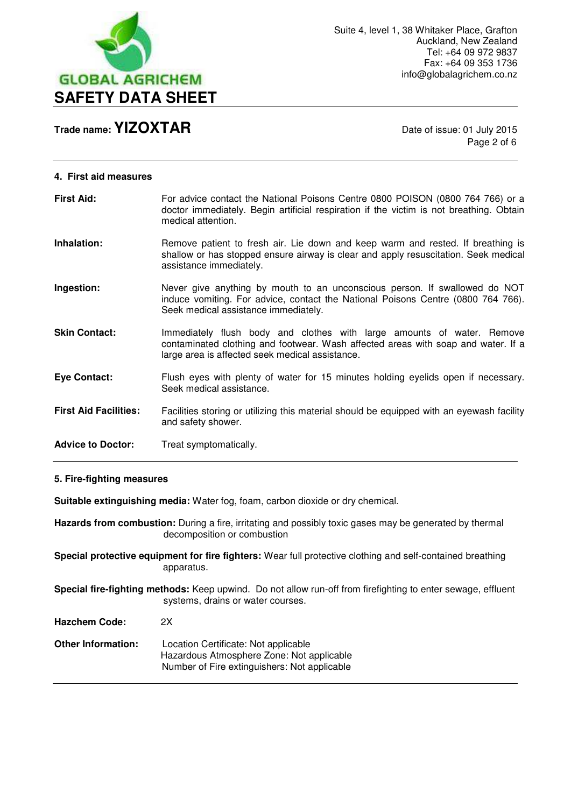

Page 2 of 6

| <b>First Aid:</b>            | For advice contact the National Poisons Centre 0800 POISON (0800 764 766) or a<br>doctor immediately. Begin artificial respiration if the victim is not breathing. Obtain<br>medical attention.                |
|------------------------------|----------------------------------------------------------------------------------------------------------------------------------------------------------------------------------------------------------------|
| Inhalation:                  | Remove patient to fresh air. Lie down and keep warm and rested. If breathing is<br>shallow or has stopped ensure airway is clear and apply resuscitation. Seek medical<br>assistance immediately.              |
| Ingestion:                   | Never give anything by mouth to an unconscious person. If swallowed do NOT<br>induce vomiting. For advice, contact the National Poisons Centre (0800 764 766).<br>Seek medical assistance immediately.         |
| <b>Skin Contact:</b>         | Immediately flush body and clothes with large amounts of water. Remove<br>contaminated clothing and footwear. Wash affected areas with soap and water. If a<br>large area is affected seek medical assistance. |
| <b>Eye Contact:</b>          | Flush eyes with plenty of water for 15 minutes holding eyelids open if necessary.<br>Seek medical assistance.                                                                                                  |
| <b>First Aid Facilities:</b> | Facilities storing or utilizing this material should be equipped with an eyewash facility<br>and safety shower.                                                                                                |
| <b>Advice to Doctor:</b>     | Treat symptomatically.                                                                                                                                                                                         |

## **5. Fire-fighting measures**

**Suitable extinguishing media:** Water fog, foam, carbon dioxide or dry chemical.

**Hazards from combustion:** During a fire, irritating and possibly toxic gases may be generated by thermal decomposition or combustion

**Special protective equipment for fire fighters:** Wear full protective clothing and self-contained breathing apparatus.

**Special fire-fighting methods:** Keep upwind. Do not allow run-off from firefighting to enter sewage, effluent systems, drains or water courses.

**Hazchem Code:** 2X

| Location Certificate: Not applicable         |
|----------------------------------------------|
| Hazardous Atmosphere Zone: Not applicable    |
| Number of Fire extinguishers: Not applicable |
|                                              |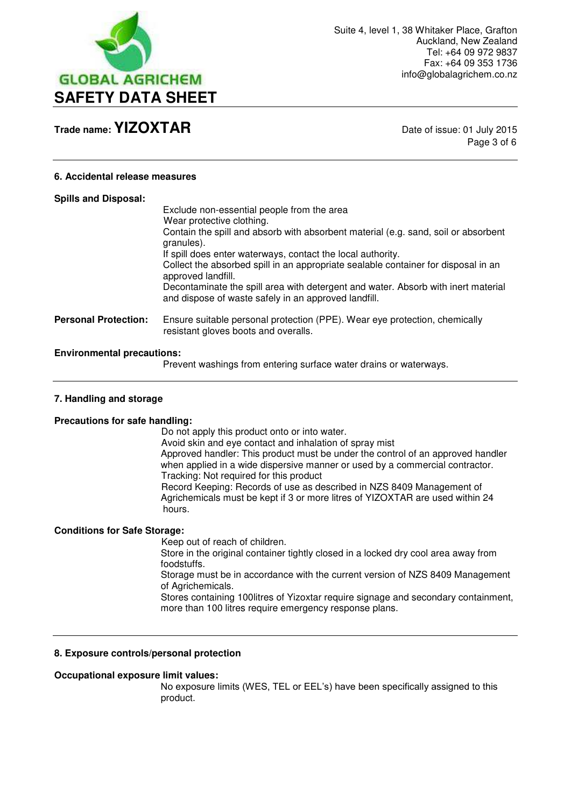

Page 3 of 6

### **6. Accidental release measures**

| <b>Spills and Disposal:</b>       | Exclude non-essential people from the area<br>Wear protective clothing.<br>Contain the spill and absorb with absorbent material (e.g. sand, soil or absorbent<br>granules).<br>If spill does enter waterways, contact the local authority.<br>Collect the absorbed spill in an appropriate sealable container for disposal in an<br>approved landfill.<br>Decontaminate the spill area with detergent and water. Absorb with inert material<br>and dispose of waste safely in an approved landfill. |
|-----------------------------------|-----------------------------------------------------------------------------------------------------------------------------------------------------------------------------------------------------------------------------------------------------------------------------------------------------------------------------------------------------------------------------------------------------------------------------------------------------------------------------------------------------|
| <b>Personal Protection:</b>       | Ensure suitable personal protection (PPE). Wear eye protection, chemically<br>resistant gloves boots and overalls.                                                                                                                                                                                                                                                                                                                                                                                  |
| <b>Environmental precautions:</b> |                                                                                                                                                                                                                                                                                                                                                                                                                                                                                                     |

Prevent washings from entering surface water drains or waterways.

#### **7. Handling and storage**

#### **Precautions for safe handling:**

 Do not apply this product onto or into water. Avoid skin and eye contact and inhalation of spray mist Approved handler: This product must be under the control of an approved handler when applied in a wide dispersive manner or used by a commercial contractor. Tracking: Not required for this product Record Keeping: Records of use as described in NZS 8409 Management of Agrichemicals must be kept if 3 or more litres of YIZOXTAR are used within 24 hours.

#### **Conditions for Safe Storage:**

Keep out of reach of children.

 Store in the original container tightly closed in a locked dry cool area away from foodstuffs.

 Storage must be in accordance with the current version of NZS 8409 Management of Agrichemicals.

 Stores containing 100litres of Yizoxtar require signage and secondary containment, more than 100 litres require emergency response plans.

#### **8. Exposure controls/personal protection**

#### **Occupational exposure limit values:**

 No exposure limits (WES, TEL or EEL's) have been specifically assigned to this product.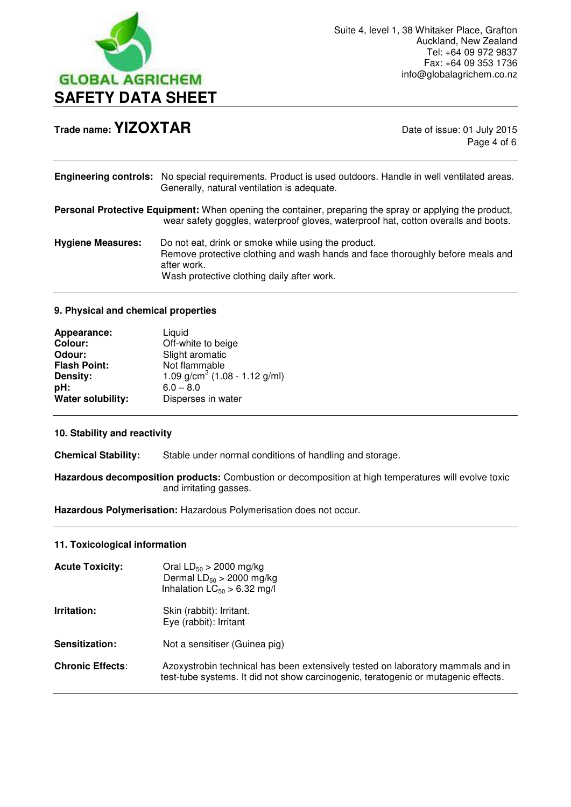

Page 4 of 6

|                          | Engineering controls: No special requirements. Product is used outdoors. Handle in well ventilated areas.<br>Generally, natural ventilation is adequate.                                           |
|--------------------------|----------------------------------------------------------------------------------------------------------------------------------------------------------------------------------------------------|
|                          | Personal Protective Equipment: When opening the container, preparing the spray or applying the product,<br>wear safety goggles, waterproof gloves, waterproof hat, cotton overalls and boots.      |
| <b>Hygiene Measures:</b> | Do not eat, drink or smoke while using the product.<br>Remove protective clothing and wash hands and face thoroughly before meals and<br>after work.<br>Wash protective clothing daily after work. |

## **9. Physical and chemical properties**

| Appearance:         | Liquid                          |
|---------------------|---------------------------------|
| <b>Colour:</b>      | Off-white to beige              |
| Odour:              | Slight aromatic                 |
| <b>Flash Point:</b> | Not flammable                   |
| Density:            | 1.09 $g/cm3$ (1.08 - 1.12 g/ml) |
| pH:                 | $6.0 - 8.0$                     |
| Water solubility:   | Disperses in water              |

## **10. Stability and reactivity**

**Chemical Stability:** Stable under normal conditions of handling and storage.

**Hazardous decomposition products:** Combustion or decomposition at high temperatures will evolve toxic and irritating gasses.

**Hazardous Polymerisation:** Hazardous Polymerisation does not occur.

## **11. Toxicological information**

| <b>Acute Toxicity:</b>  | Oral $LD_{50} > 2000$ mg/kg<br>Dermal $LD_{50} > 2000$ mg/kg<br>Inhalation $LC_{50} > 6.32$ mg/l                                                                      |
|-------------------------|-----------------------------------------------------------------------------------------------------------------------------------------------------------------------|
| Irritation:             | Skin (rabbit): Irritant.<br>Eye (rabbit): Irritant                                                                                                                    |
| Sensitization:          | Not a sensitiser (Guinea pig)                                                                                                                                         |
| <b>Chronic Effects:</b> | Azoxystrobin technical has been extensively tested on laboratory mammals and in<br>test-tube systems. It did not show carcinogenic, teratogenic or mutagenic effects. |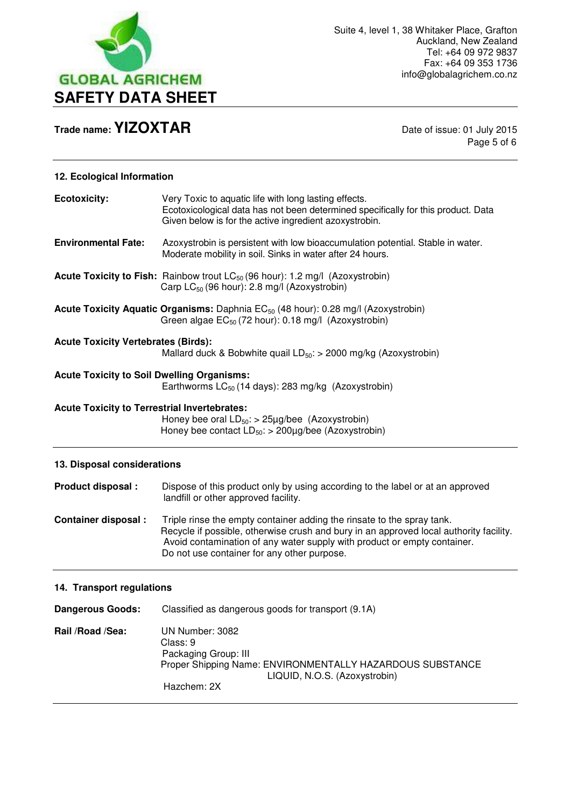

Page 5 of 6

# **12. Ecological Information**

| <b>Ecotoxicity:</b>                                 | Very Toxic to aquatic life with long lasting effects.<br>Ecotoxicological data has not been determined specifically for this product. Data<br>Given below is for the active ingredient azoxystrobin.                                                                                        |
|-----------------------------------------------------|---------------------------------------------------------------------------------------------------------------------------------------------------------------------------------------------------------------------------------------------------------------------------------------------|
| <b>Environmental Fate:</b>                          | Azoxystrobin is persistent with low bioaccumulation potential. Stable in water.<br>Moderate mobility in soil. Sinks in water after 24 hours.                                                                                                                                                |
|                                                     | <b>Acute Toxicity to Fish:</b> Rainbow trout $LC_{50}$ (96 hour): 1.2 mg/l (Azoxystrobin)<br>Carp LC <sub>50</sub> (96 hour): 2.8 mg/l (Azoxystrobin)                                                                                                                                       |
|                                                     | Acute Toxicity Aquatic Organisms: Daphnia EC <sub>50</sub> (48 hour): 0.28 mg/l (Azoxystrobin)<br>Green algae $EC_{50}$ (72 hour): 0.18 mg/l (Azoxystrobin)                                                                                                                                 |
| <b>Acute Toxicity Vertebrates (Birds):</b>          | Mallard duck & Bobwhite quail $LD_{50}$ : > 2000 mg/kg (Azoxystrobin)                                                                                                                                                                                                                       |
| <b>Acute Toxicity to Soil Dwelling Organisms:</b>   | Earthworms $LC_{50}$ (14 days): 283 mg/kg (Azoxystrobin)                                                                                                                                                                                                                                    |
| <b>Acute Toxicity to Terrestrial Invertebrates:</b> | Honey bee oral $LD_{50}$ : > 25µg/bee (Azoxystrobin)<br>Honey bee contact $LD_{50}$ : > 200µg/bee (Azoxystrobin)                                                                                                                                                                            |
| 13. Disposal considerations                         |                                                                                                                                                                                                                                                                                             |
| Product disposal :                                  | Dispose of this product only by using according to the label or at an approved<br>landfill or other approved facility.                                                                                                                                                                      |
| <b>Container disposal:</b>                          | Triple rinse the empty container adding the rinsate to the spray tank.<br>Recycle if possible, otherwise crush and bury in an approved local authority facility.<br>Avoid contamination of any water supply with product or empty container.<br>Do not use container for any other purpose. |
| 14. Transport regulations                           |                                                                                                                                                                                                                                                                                             |
| <b>Dangerous Goods:</b>                             | Classified as dangerous goods for transport (9.1A)                                                                                                                                                                                                                                          |
| Rail /Road /Sea:                                    | UN Number: 3082<br>Class: 9<br>Packaging Group: III<br>Proper Shipping Name: ENVIRONMENTALLY HAZARDOUS SUBSTANCE<br>LIQUID, N.O.S. (Azoxystrobin)                                                                                                                                           |

Hazchem: 2X